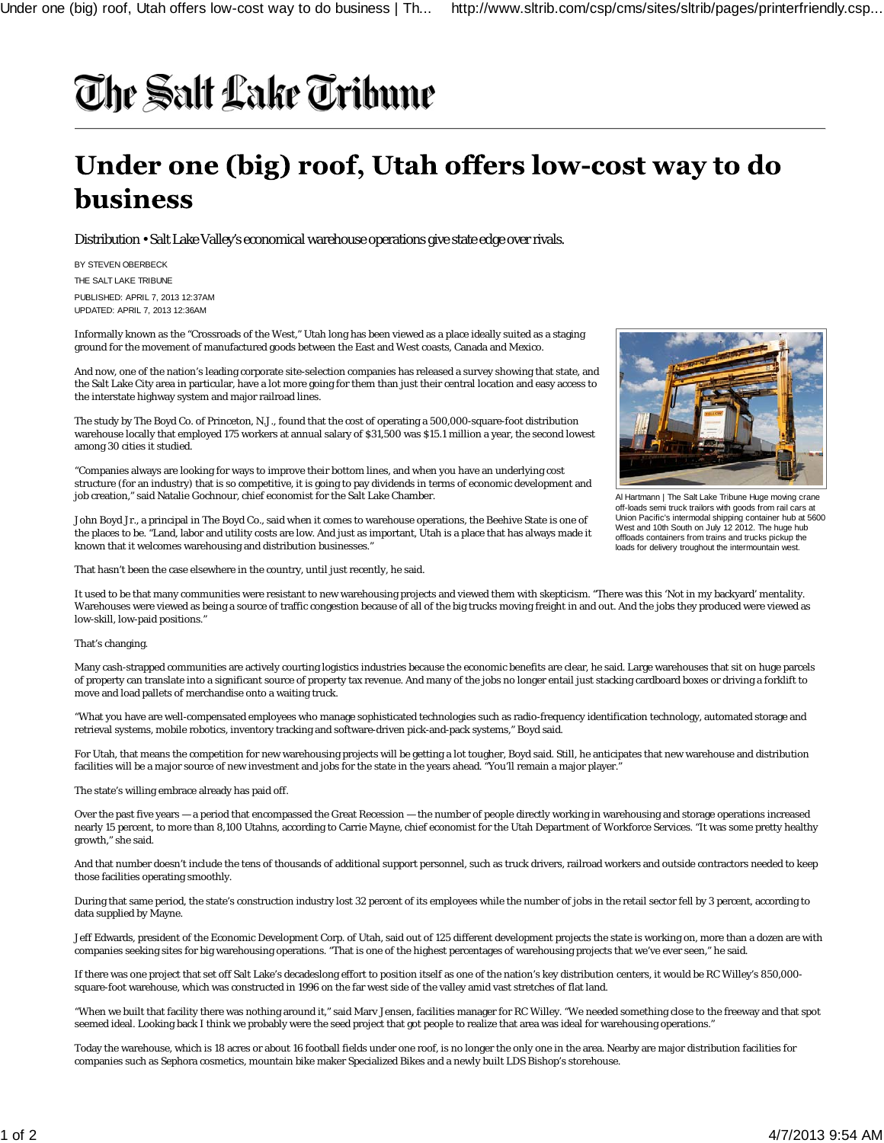## The Salt Lake Tribune

## Under one (big) roof, Utah offers low-cost way to do **business**

Distribution • Salt Lake Valley's economical warehouse operations give state edge over rivals.

BY STEVEN OBERBECK

THE SALT LAKE TRIBUNE

PUBLISHED: APRIL 7, 2013 12:37AM UPDATED: APRIL 7, 2013 12:36AM

Informally known as the "Crossroads of the West," Utah long has been viewed as a place ideally suited as a staging ground for the movement of manufactured goods between the East and West coasts, Canada and Mexico.

And now, one of the nation's leading corporate site-selection companies has released a survey showing that state, and the Salt Lake City area in particular, have a lot more going for them than just their central location and easy access to the interstate highway system and major railroad lines.

The study by The Boyd Co. of Princeton, N.J., found that the cost of operating a 500,000-square-foot distribution warehouse locally that employed 175 workers at annual salary of \$31,500 was \$15.1 million a year, the second lowest among 30 cities it studied.

"Companies always are looking for ways to improve their bottom lines, and when you have an underlying cost structure (for an industry) that is so competitive, it is going to pay dividends in terms of economic development and job creation," said Natalie Gochnour, chief economist for the Salt Lake Chamber.

John Boyd Jr., a principal in The Boyd Co., said when it comes to warehouse operations, the Beehive State is one of the places to be. "Land, labor and utility costs are low. And just as important, Utah is a place that has always made it known that it welcomes warehousing and distribution businesses."

That hasn't been the case elsewhere in the country, until just recently, he said.

It used to be that many communities were resistant to new warehousing projects and viewed them with skepticism. "There was this 'Not in my backyard' mentality. Warehouses were viewed as being a source of traffic congestion because of all of the big trucks moving freight in and out. And the jobs they produced were viewed as low-skill, low-paid positions."

## That's changing.

Many cash-strapped communities are actively courting logistics industries because the economic benefits are clear, he said. Large warehouses that sit on huge parcels of property can translate into a significant source of property tax revenue. And many of the jobs no longer entail just stacking cardboard boxes or driving a forklift to move and load pallets of merchandise onto a waiting truck.

"What you have are well-compensated employees who manage sophisticated technologies such as radio-frequency identification technology, automated storage and retrieval systems, mobile robotics, inventory tracking and software-driven pick-and-pack systems," Boyd said.

For Utah, that means the competition for new warehousing projects will be getting a lot tougher, Boyd said. Still, he anticipates that new warehouse and distribution facilities will be a major source of new investment and jobs for the state in the years ahead. "You'll remain a major player."

The state's willing embrace already has paid off.

Over the past five years — a period that encompassed the Great Recession — the number of people directly working in warehousing and storage operations increased nearly 15 percent, to more than 8,100 Utahns, according to Carrie Mayne, chief economist for the Utah Department of Workforce Services. "It was some pretty healthy growth," she said.

And that number doesn't include the tens of thousands of additional support personnel, such as truck drivers, railroad workers and outside contractors needed to keep those facilities operating smoothly.

During that same period, the state's construction industry lost 32 percent of its employees while the number of jobs in the retail sector fell by 3 percent, according to data supplied by Mayne.

Jeff Edwards, president of the Economic Development Corp. of Utah, said out of 125 different development projects the state is working on, more than a dozen are with companies seeking sites for big warehousing operations. "That is one of the highest percentages of warehousing projects that we've ever seen," he said.

If there was one project that set off Salt Lake's decadeslong effort to position itself as one of the nation's key distribution centers, it would be RC Willey's 850,000 square-foot warehouse, which was constructed in 1996 on the far west side of the valley amid vast stretches of flat land.

"When we built that facility there was nothing around it," said Marv Jensen, facilities manager for RC Willey. "We needed something close to the freeway and that spot seemed ideal. Looking back I think we probably were the seed project that got people to realize that area was ideal for warehousing operations."

Today the warehouse, which is 18 acres or about 16 football fields under one roof, is no longer the only one in the area. Nearby are major distribution facilities for companies such as Sephora cosmetics, mountain bike maker Specialized Bikes and a newly built LDS Bishop's storehouse.



Al Hartmann | The Salt Lake Tribune Huge moving crane off-loads semi truck trailors with goods from rail cars at Union Pacific's intermodal shipping container hub at 5600 West and 10th South on July 12 2012. The huge hub offloads containers from trains and trucks pickup the loads for delivery troughout the intermountain west.